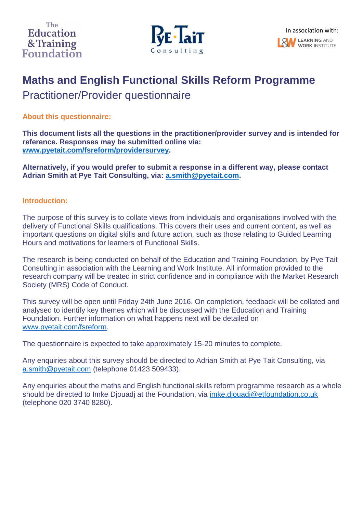

# **Maths and English Functional Skills Reform Programme**

Practitioner/Provider questionnaire

**About this questionnaire:**

**This document lists all the questions in the practitioner/provider survey and is intended for reference. Responses may be submitted online via: [www.pyetait.com/fsreform/providersurvey.](http://www.pyetait.com/fsreform/providersurvey)** 

**Alternatively, if you would prefer to submit a response in a different way, please contact Adrian Smith at Pye Tait Consulting, via: [a.smith@pyetait.com.](mailto:a.smith@pyetait.com)** 

# **Introduction:**

The purpose of this survey is to collate views from individuals and organisations involved with the delivery of Functional Skills qualifications. This covers their uses and current content, as well as important questions on digital skills and future action, such as those relating to Guided Learning Hours and motivations for learners of Functional Skills.

The research is being conducted on behalf of the Education and Training Foundation, by Pye Tait Consulting in association with the Learning and Work Institute. All information provided to the research company will be treated in strict confidence and in compliance with the Market Research Society (MRS) Code of Conduct.

This survey will be open until Friday 24th June 2016. On completion, feedback will be collated and analysed to identify key themes which will be discussed with the Education and Training Foundation. Further information on what happens next will be detailed on [www.pyetait.com/fsreform.](http://www.pyetait.com/fsreform)

The questionnaire is expected to take approximately 15-20 minutes to complete.

Any enquiries about this survey should be directed to Adrian Smith at Pye Tait Consulting, via [a.smith@pyetait.com](mailto:a.smith@pyetait.com) (telephone 01423 509433).

Any enquiries about the maths and English functional skills reform programme research as a whole should be directed to Imke Djouadj at the Foundation, via *imke.djouadj@etfoundation.co.uk* (telephone 020 3740 8280).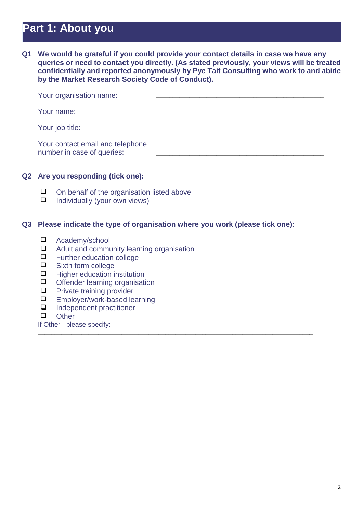# **Part 1: About you**

**Q1 We would be grateful if you could provide your contact details in case we have any queries or need to contact you directly. (As stated previously, your views will be treated confidentially and reported anonymously by Pye Tait Consulting who work to and abide by the Market Research Society Code of Conduct).** 

| Your organisation name:                                        |  |
|----------------------------------------------------------------|--|
| Your name:                                                     |  |
| Your job title:                                                |  |
| Your contact email and telephone<br>number in case of queries: |  |

#### **Q2 Are you responding (tick one):**

- $\Box$  On behalf of the organisation listed above<br> $\Box$  Individually (your own views)
- Individually (your own views)

### **Q3 Please indicate the type of organisation where you work (please tick one):**

\_\_\_\_\_\_\_\_\_\_\_\_\_\_\_\_\_\_\_\_\_\_\_\_\_\_\_\_\_\_\_\_\_\_\_\_\_\_\_\_\_\_\_\_\_\_\_\_\_\_\_\_\_\_\_\_\_\_\_\_\_\_\_\_\_\_\_\_\_\_\_\_\_\_\_\_\_\_\_\_\_\_

- Academy/school
- $\Box$  Adult and community learning organisation<br> $\Box$  Eurther education college
- $\Box$  Further education college<br> $\Box$  Sixth form college
- Sixth form college
- $\Box$  Higher education institution
- $\Box$  Offender learning organisation<br> $\Box$  Private training provider
- Private training provider
- $\Box$  Employer/work-based learning<br> $\Box$  Independent practitioner
- Independent practitioner
- **Q** Other
- If Other please specify: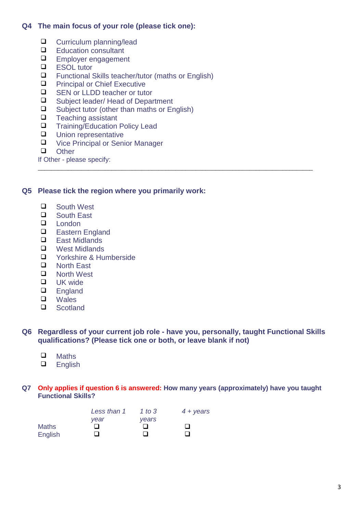# **Q4 The main focus of your role (please tick one):**

- $\Box$  Curriculum planning/lead<br> $\Box$  Education consultant
- $\Box$  Education consultant
- $\Box$  Employer engagement
- ESOL tutor
- $\Box$  Functional Skills teacher/tutor (maths or English)<br> $\Box$  Principal or Chief Executive
- $\Box$  Principal or Chief Executive<br> $\Box$  SEN or LLDD teacher or tute
- $\Box$  SEN or LLDD teacher or tutor<br> $\Box$  Subject leader/Head of Depar
- $\Box$  Subject leader/ Head of Department<br> $\Box$  Subject tutor (other than maths or Fr
- $\Box$  Subject tutor (other than maths or English)<br> $\Box$  Teaching assistant
- $\Box$  Teaching assistant<br> $\Box$  Training/Education
- Training/Education Policy Lead
- **Q** Union representative
- □ Vice Principal or Senior Manager<br>□ Other
- **Other**

If Other - please specify:

## **Q5 Please tick the region where you primarily work:**

- □ South West
- □ South East
- $\Box$  London<br> $\Box$  Eastern
- $\Box$  Eastern England<br> $\Box$  Fast Midlands
- East Midlands
- $\Box$  West Midlands<br> $\Box$  Yorkshire & Hu
- $\Box$  Yorkshire & Humberside<br> $\Box$  North East
- □ North East<br>□ North West
- North West
- $\Box$  UK wide
- **England**
- □ Wales
- **Scotland**

### **Q6 Regardless of your current job role - have you, personally, taught Functional Skills qualifications? (Please tick one or both, or leave blank if not)**

\_\_\_\_\_\_\_\_\_\_\_\_\_\_\_\_\_\_\_\_\_\_\_\_\_\_\_\_\_\_\_\_\_\_\_\_\_\_\_\_\_\_\_\_\_\_\_\_\_\_\_\_\_\_\_\_\_\_\_\_\_\_\_\_\_\_\_\_\_\_\_\_\_\_\_\_\_\_\_\_\_\_

- $\Box$  Maths<br> $\Box$  English
- English

#### **Q7 Only applies if question 6 is answered: How many years (approximately) have you taught Functional Skills?**

|         | Less than 1 | 1 to $3$ | $4 + \gamma$ ears |
|---------|-------------|----------|-------------------|
|         | vear        | vears    |                   |
| Maths   |             |          |                   |
| English |             | . .      |                   |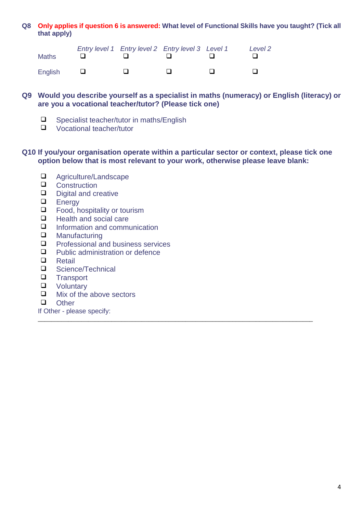## **Q8 Only applies if question 6 is answered: What level of Functional Skills have you taught? (Tick all that apply)**

| <b>Maths</b> |  | Entry level 1 Entry level 2 Entry level 3 Level 1 |     | Level 2 |
|--------------|--|---------------------------------------------------|-----|---------|
| English      |  |                                                   | . . |         |

## **Q9 Would you describe yourself as a specialist in maths (numeracy) or English (literacy) or are you a vocational teacher/tutor? (Please tick one)**

- $\Box$  Specialist teacher/tutor in maths/English<br> $\Box$  Vocational teacher/tutor
- Vocational teacher/tutor

## **Q10 If you/your organisation operate within a particular sector or context, please tick one option below that is most relevant to your work, otherwise please leave blank:**

\_\_\_\_\_\_\_\_\_\_\_\_\_\_\_\_\_\_\_\_\_\_\_\_\_\_\_\_\_\_\_\_\_\_\_\_\_\_\_\_\_\_\_\_\_\_\_\_\_\_\_\_\_\_\_\_\_\_\_\_\_\_\_\_\_\_\_\_\_\_\_\_\_\_\_\_\_\_\_\_\_\_

- □ Agriculture/Landscape
- Q Construction<br>Q Digital and cr
- $\Box$  Digital and creative<br> $\Box$  Fnergy
- $\Box$  Energy<br> $\Box$  Eood, h
- $\Box$  Food, hospitality or tourism<br> $\Box$  Health and social care
- Health and social care
- $\Box$  Information and communication<br> $\Box$  Manufacturing
- $\Box$  Manufacturing<br> $\Box$  Professional are
- $\Box$  Professional and business services<br> $\Box$  Public administration or defence
- $\Box$  Public administration or defence<br> $\Box$  Retail
- Retail
- □ Science/Technical<br>□ Transport
- $\Box$  Transport<br> $\Box$  Voluntary
- $\Box$  Voluntary<br> $\Box$  Mix of the
- Mix of the above sectors
- **Q** Other
- If Other please specify: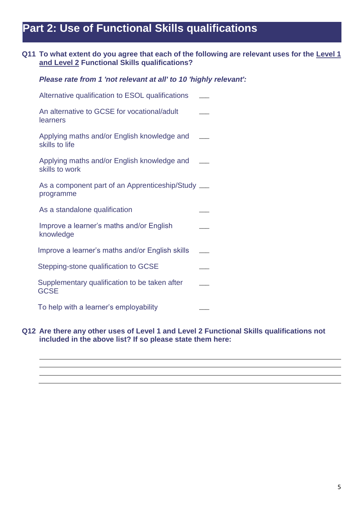# **Part 2: Use of Functional Skills qualifications**

# **Q11 To what extent do you agree that each of the following are relevant uses for the Level 1 and Level 2 Functional Skills qualifications?**

| Please rate from 1 'not relevant at all' to 10 'highly relevant': |  |  |  |  |  |  |  |  |
|-------------------------------------------------------------------|--|--|--|--|--|--|--|--|
|-------------------------------------------------------------------|--|--|--|--|--|--|--|--|

| Alternative qualification to ESOL qualifications                |  |
|-----------------------------------------------------------------|--|
| An alternative to GCSE for vocational/adult<br>learners         |  |
| Applying maths and/or English knowledge and<br>skills to life   |  |
| Applying maths and/or English knowledge and<br>skills to work   |  |
| As a component part of an Apprenticeship/Study ___<br>programme |  |
| As a standalone qualification                                   |  |
| Improve a learner's maths and/or English<br>knowledge           |  |
| Improve a learner's maths and/or English skills                 |  |
| Stepping-stone qualification to GCSE                            |  |
| Supplementary qualification to be taken after<br><b>GCSE</b>    |  |
| To help with a learner's employability                          |  |

### **Q12 Are there any other uses of Level 1 and Level 2 Functional Skills qualifications not included in the above list? If so please state them here:**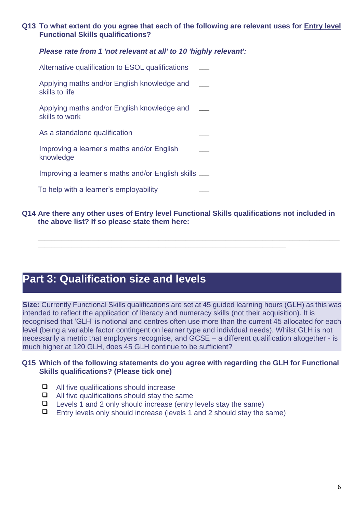## **Q13 To what extent do you agree that each of the following are relevant uses for Entry level Functional Skills qualifications?**

# *Please rate from 1 'not relevant at all' to 10 'highly relevant':*

| Alternative qualification to ESOL qualifications              |  |
|---------------------------------------------------------------|--|
| Applying maths and/or English knowledge and<br>skills to life |  |
| Applying maths and/or English knowledge and<br>skills to work |  |
| As a standalone qualification                                 |  |
| Improving a learner's maths and/or English<br>knowledge       |  |
| Improving a learner's maths and/or English skills ___         |  |
| To help with a learner's employability                        |  |

## **Q14 Are there any other uses of Entry level Functional Skills qualifications not included in the above list? If so please state them here:**

\_\_\_\_\_\_\_\_\_\_\_\_\_\_\_\_\_\_\_\_\_\_\_\_\_\_\_\_\_\_\_\_\_\_\_\_\_\_\_\_\_\_\_\_\_\_\_\_\_\_\_\_\_\_\_\_\_\_\_\_\_\_\_\_\_\_\_\_\_\_\_\_\_\_

\_\_\_\_\_\_\_\_\_\_\_\_\_\_\_\_\_\_\_\_\_\_\_\_\_\_\_\_\_\_\_\_\_\_\_\_\_\_\_\_\_\_\_\_\_\_\_\_\_\_\_\_\_\_\_\_\_\_\_\_\_\_\_\_\_\_\_\_\_\_\_\_\_\_\_\_\_\_\_\_\_\_\_\_\_\_\_\_\_\_

# **Part 3: Qualification size and levels**

**Size:** Currently Functional Skills qualifications are set at 45 guided learning hours (GLH) as this was intended to reflect the application of literacy and numeracy skills (not their acquisition). It is recognised that 'GLH' is notional and centres often use more than the current 45 allocated for each level (being a variable factor contingent on learner type and individual needs). Whilst GLH is not necessarily a metric that employers recognise, and GCSE – a different qualification altogether - is much higher at 120 GLH, does 45 GLH continue to be sufficient?

## **Q15 Which of the following statements do you agree with regarding the GLH for Functional Skills qualifications? (Please tick one)**

- All five qualifications should increase
- $\Box$  All five qualifications should stay the same
- $\Box$  Levels 1 and 2 only should increase (entry levels stay the same)
- $\Box$  Entry levels only should increase (levels 1 and 2 should stay the same)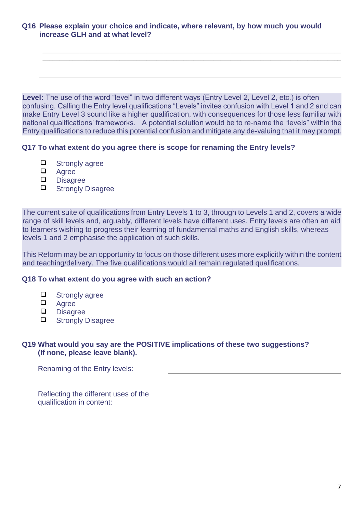**Q16 Please explain your choice and indicate, where relevant, by how much you would increase GLH and at what level?**

Level: The use of the word "level" in two different ways (Entry Level 2, Level 2, etc.) is often confusing. Calling the Entry level qualifications "Levels" invites confusion with Level 1 and 2 and can make Entry Level 3 sound like a higher qualification, with consequences for those less familiar with national qualifications' frameworks. A potential solution would be to re-name the "levels" within the Entry qualifications to reduce this potential confusion and mitigate any de-valuing that it may prompt.

\_\_\_\_\_\_\_\_\_\_\_\_\_\_\_\_\_\_\_\_\_\_\_\_\_\_\_\_\_\_\_\_\_\_\_\_\_\_\_\_\_\_\_\_\_\_\_\_\_\_\_\_\_\_\_\_\_\_\_\_\_\_\_\_\_\_\_\_\_\_\_\_\_\_\_\_\_\_\_\_\_\_\_\_\_\_\_\_\_ \_\_\_\_\_\_\_\_\_\_\_\_\_\_\_\_\_\_\_\_\_\_\_\_\_\_\_\_\_\_\_\_\_\_\_\_\_\_\_\_\_\_\_\_\_\_\_\_\_\_\_\_\_\_\_\_\_\_\_\_\_\_\_\_\_\_\_\_\_\_\_\_\_\_\_\_\_\_\_\_\_\_\_\_\_\_\_\_\_

## **Q17 To what extent do you agree there is scope for renaming the Entry levels?**

- $\Box$  Strongly agree
- Agree
- **D** Disagree
- **Q** Strongly Disagree

The current suite of qualifications from Entry Levels 1 to 3, through to Levels 1 and 2, covers a wide range of skill levels and, arguably, different levels have different uses. Entry levels are often an aid to learners wishing to progress their learning of fundamental maths and English skills, whereas levels 1 and 2 emphasise the application of such skills.

This Reform may be an opportunity to focus on those different uses more explicitly within the content and teaching/delivery. The five qualifications would all remain regulated qualifications.

#### **Q18 To what extent do you agree with such an action?**

- **Q** Strongly agree
- **Q** Agree
- Disagree<br>D Strongly D
- Strongly Disagree

# **Q19 What would you say are the POSITIVE implications of these two suggestions? (If none, please leave blank).**

Renaming of the Entry levels:

Reflecting the different uses of the qualification in content: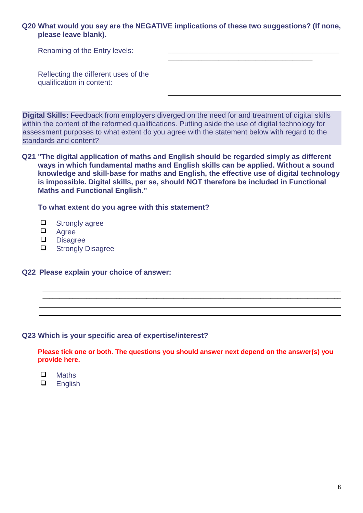**Q20 What would you say are the NEGATIVE implications of these two suggestions? (If none, please leave blank).**

| Renaming of the Entry levels:                                     |  |
|-------------------------------------------------------------------|--|
|                                                                   |  |
| Reflecting the different uses of the<br>qualification in content: |  |

**Digital Skills:** Feedback from employers diverged on the need for and treatment of digital skills within the content of the reformed qualifications. Putting aside the use of digital technology for assessment purposes to what extent do you agree with the statement below with regard to the standards and content?

**Q21 "The digital application of maths and English should be regarded simply as different ways in which fundamental maths and English skills can be applied. Without a sound knowledge and skill-base for maths and English, the effective use of digital technology is impossible. Digital skills, per se, should NOT therefore be included in Functional Maths and Functional English."**

**To what extent do you agree with this statement?**

- $\Box$  Strongly agree
- $\Box$  Agree
- **Disagree**
- **Q** Strongly Disagree

## **Q22 Please explain your choice of answer:**

#### **Q23 Which is your specific area of expertise/interest?**

**Please tick one or both. The questions you should answer next depend on the answer(s) you provide here.**

\_\_\_\_\_\_\_\_\_\_\_\_\_\_\_\_\_\_\_\_\_\_\_\_\_\_\_\_\_\_\_\_\_\_\_\_\_\_\_\_\_\_\_\_\_\_\_\_\_\_\_\_\_\_\_\_\_\_\_\_\_\_\_\_\_\_\_\_\_\_\_\_\_\_\_\_\_\_\_\_\_\_\_\_\_\_\_\_\_ \_\_\_\_\_\_\_\_\_\_\_\_\_\_\_\_\_\_\_\_\_\_\_\_\_\_\_\_\_\_\_\_\_\_\_\_\_\_\_\_\_\_\_\_\_\_\_\_\_\_\_\_\_\_\_\_\_\_\_\_\_\_\_\_\_\_\_\_\_\_\_\_\_\_\_\_\_\_\_\_\_\_\_\_\_\_\_\_\_

- $\Box$  Maths<br> $\Box$  English
- English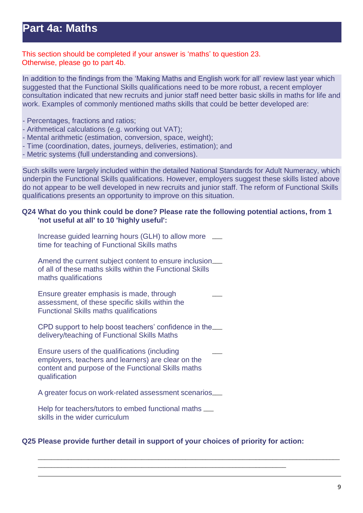This section should be completed if your answer is 'maths' to question 23. Otherwise, please go to part 4b.

In addition to the findings from the 'Making Maths and English work for all' review last year which suggested that the Functional Skills qualifications need to be more robust, a recent employer consultation indicated that new recruits and junior staff need better basic skills in maths for life and work. Examples of commonly mentioned maths skills that could be better developed are:

- Percentages, fractions and ratios;
- Arithmetical calculations (e.g. working out VAT);
- Mental arithmetic (estimation, conversion, space, weight);
- Time (coordination, dates, journeys, deliveries, estimation); and
- Metric systems (full understanding and conversions).

Such skills were largely included within the detailed National Standards for Adult Numeracy, which underpin the Functional Skills qualifications. However, employers suggest these skills listed above do not appear to be well developed in new recruits and junior staff. The reform of Functional Skills qualifications presents an opportunity to improve on this situation.

## **Q24 What do you think could be done? Please rate the following potential actions, from 1 'not useful at all' to 10 'highly useful':**

| Increase guided learning hours (GLH) to allow more<br>time for teaching of Functional Skills maths                                                                         |
|----------------------------------------------------------------------------------------------------------------------------------------------------------------------------|
| Amend the current subject content to ensure inclusion___<br>of all of these maths skills within the Functional Skills<br>maths qualifications                              |
| Ensure greater emphasis is made, through<br>assessment, of these specific skills within the<br><b>Functional Skills maths qualifications</b>                               |
| CPD support to help boost teachers' confidence in the<br>delivery/teaching of Functional Skills Maths                                                                      |
| Ensure users of the qualifications (including<br>employers, teachers and learners) are clear on the<br>content and purpose of the Functional Skills maths<br>qualification |
| A greater focus on work-related assessment scenarios___                                                                                                                    |
| Help for teachers/tutors to embed functional maths ___<br>skills in the wider curriculum                                                                                   |

# **Q25 Please provide further detail in support of your choices of priority for action:**

\_\_\_\_\_\_\_\_\_\_\_\_\_\_\_\_\_\_\_\_\_\_\_\_\_\_\_\_\_\_\_\_\_\_\_\_\_\_\_\_\_\_\_\_\_\_\_\_\_\_\_\_\_\_\_\_\_\_\_\_\_\_\_\_\_\_\_\_\_\_\_\_\_\_

\_\_\_\_\_\_\_\_\_\_\_\_\_\_\_\_\_\_\_\_\_\_\_\_\_\_\_\_\_\_\_\_\_\_\_\_\_\_\_\_\_\_\_\_\_\_\_\_\_\_\_\_\_\_\_\_\_\_\_\_\_\_\_\_\_\_\_\_\_\_\_\_\_\_\_\_\_\_\_\_\_\_\_\_\_\_\_\_\_\_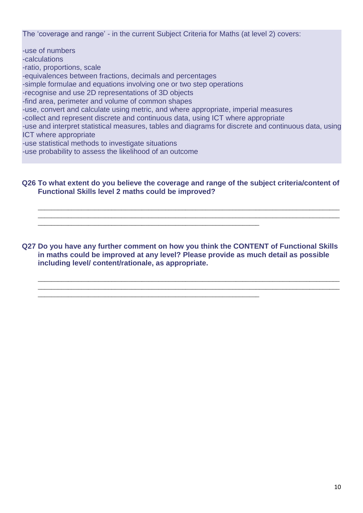The 'coverage and range' - in the current Subject Criteria for Maths (at level 2) covers:

-use of numbers -calculations -ratio, proportions, scale -equivalences between fractions, decimals and percentages -simple formulae and equations involving one or two step operations -recognise and use 2D representations of 3D objects -find area, perimeter and volume of common shapes -use, convert and calculate using metric, and where appropriate, imperial measures -collect and represent discrete and continuous data, using ICT where appropriate -use and interpret statistical measures, tables and diagrams for discrete and continuous data, using ICT where appropriate -use statistical methods to investigate situations -use probability to assess the likelihood of an outcome

## **Q26 To what extent do you believe the coverage and range of the subject criteria/content of Functional Skills level 2 maths could be improved?**

\_\_\_\_\_\_\_\_\_\_\_\_\_\_\_\_\_\_\_\_\_\_\_\_\_\_\_\_\_\_\_\_\_\_\_\_\_\_\_\_\_\_\_\_\_\_\_\_\_\_\_\_\_\_\_\_\_\_\_\_\_\_\_\_\_\_\_\_\_\_\_\_\_\_\_\_\_\_\_\_\_\_\_\_\_\_\_\_\_\_ \_\_\_\_\_\_\_\_\_\_\_\_\_\_\_\_\_\_\_\_\_\_\_\_\_\_\_\_\_\_\_\_\_\_\_\_\_\_\_\_\_\_\_\_\_\_\_\_\_\_\_\_\_\_\_\_\_\_\_\_\_\_\_\_\_\_\_\_\_\_\_\_\_\_\_\_\_\_\_\_\_\_\_\_\_\_\_\_\_\_

**Q27 Do you have any further comment on how you think the CONTENT of Functional Skills in maths could be improved at any level? Please provide as much detail as possible including level/ content/rationale, as appropriate.**

\_\_\_\_\_\_\_\_\_\_\_\_\_\_\_\_\_\_\_\_\_\_\_\_\_\_\_\_\_\_\_\_\_\_\_\_\_\_\_\_\_\_\_\_\_\_\_\_\_\_\_\_\_\_\_\_\_\_\_\_\_\_\_\_\_\_\_\_\_\_\_\_\_\_\_\_\_\_\_\_\_\_\_\_\_\_\_\_\_\_ \_\_\_\_\_\_\_\_\_\_\_\_\_\_\_\_\_\_\_\_\_\_\_\_\_\_\_\_\_\_\_\_\_\_\_\_\_\_\_\_\_\_\_\_\_\_\_\_\_\_\_\_\_\_\_\_\_\_\_\_\_\_\_\_\_\_\_\_\_\_\_\_\_\_\_\_\_\_\_\_\_\_\_\_\_\_\_\_\_\_

\_\_\_\_\_\_\_\_\_\_\_\_\_\_\_\_\_\_\_\_\_\_\_\_\_\_\_\_\_\_\_\_\_\_\_\_\_\_\_\_\_\_\_\_\_\_\_\_\_\_\_\_\_\_\_\_\_\_\_\_\_\_\_\_\_\_

\_\_\_\_\_\_\_\_\_\_\_\_\_\_\_\_\_\_\_\_\_\_\_\_\_\_\_\_\_\_\_\_\_\_\_\_\_\_\_\_\_\_\_\_\_\_\_\_\_\_\_\_\_\_\_\_\_\_\_\_\_\_\_\_\_\_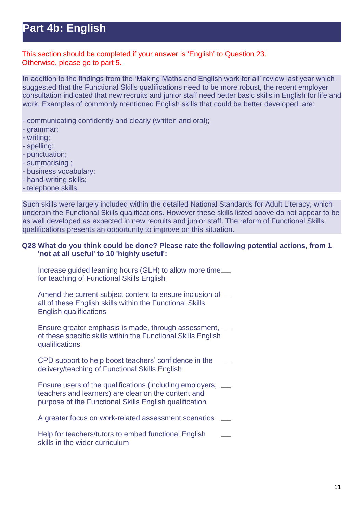# **Part 4b: English**

This section should be completed if your answer is 'English' to Question 23. Otherwise, please go to part 5.

In addition to the findings from the 'Making Maths and English work for all' review last year which suggested that the Functional Skills qualifications need to be more robust, the recent employer consultation indicated that new recruits and junior staff need better basic skills in English for life and work. Examples of commonly mentioned English skills that could be better developed, are:

- communicating confidently and clearly (written and oral);

- grammar;
- writing;
- spelling;
- punctuation;
- summarising ;
- business vocabulary;
- hand-writing skills;
- telephone skills.

Such skills were largely included within the detailed National Standards for Adult Literacy, which underpin the Functional Skills qualifications. However these skills listed above do not appear to be as well developed as expected in new recruits and junior staff. The reform of Functional Skills qualifications presents an opportunity to improve on this situation.

### **Q28 What do you think could be done? Please rate the following potential actions, from 1 'not at all useful' to 10 'highly useful':**

Increase guided learning hours (GLH) to allow more time\_ for teaching of Functional Skills English

Amend the current subject content to ensure inclusion of all of these English skills within the Functional Skills English qualifications

Ensure greater emphasis is made, through assessment, \_\_\_ of these specific skills within the Functional Skills English qualifications

CPD support to help boost teachers' confidence in the delivery/teaching of Functional Skills English  $\overline{\phantom{a}}$ 

Ensure users of the qualifications (including employers, \_\_\_ teachers and learners) are clear on the content and purpose of the Functional Skills English qualification

A greater focus on work-related assessment scenarios \_

Help for teachers/tutors to embed functional English skills in the wider curriculum  $\overline{\phantom{a}}$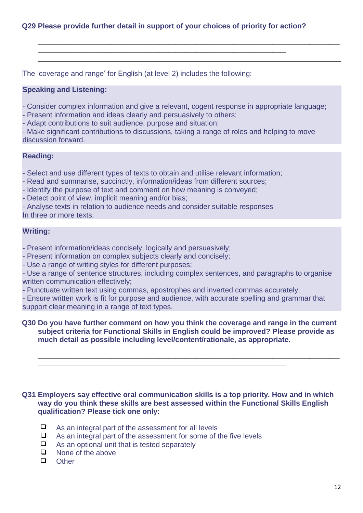# **Q29 Please provide further detail in support of your choices of priority for action?**

\_\_\_\_\_\_\_\_\_\_\_\_\_\_\_\_\_\_\_\_\_\_\_\_\_\_\_\_\_\_\_\_\_\_\_\_\_\_\_\_\_\_\_\_\_\_\_\_\_\_\_\_\_\_\_\_\_\_\_\_\_\_\_\_\_\_\_\_\_\_\_\_\_\_

The 'coverage and range' for English (at level 2) includes the following:

### **Speaking and Listening:**

- Consider complex information and give a relevant, cogent response in appropriate language;

\_\_\_\_\_\_\_\_\_\_\_\_\_\_\_\_\_\_\_\_\_\_\_\_\_\_\_\_\_\_\_\_\_\_\_\_\_\_\_\_\_\_\_\_\_\_\_\_\_\_\_\_\_\_\_\_\_\_\_\_\_\_\_\_\_\_\_\_\_\_\_\_\_\_\_\_\_\_\_\_\_\_\_\_\_\_\_\_\_\_

- Present information and ideas clearly and persuasively to others;
- Adapt contributions to suit audience, purpose and situation;

- Make significant contributions to discussions, taking a range of roles and helping to move discussion forward.

### **Reading:**

- Select and use different types of texts to obtain and utilise relevant information;

- Read and summarise, succinctly, information/ideas from different sources;
- Identify the purpose of text and comment on how meaning is conveyed;
- Detect point of view, implicit meaning and/or bias;

- Analyse texts in relation to audience needs and consider suitable responses In three or more texts.

## **Writing:**

- Present information/ideas concisely, logically and persuasively;
- Present information on complex subjects clearly and concisely;
- Use a range of writing styles for different purposes;

- Use a range of sentence structures, including complex sentences, and paragraphs to organise written communication effectively;

- Punctuate written text using commas, apostrophes and inverted commas accurately;

\_\_\_\_\_\_\_\_\_\_\_\_\_\_\_\_\_\_\_\_\_\_\_\_\_\_\_\_\_\_\_\_\_\_\_\_\_\_\_\_\_\_\_\_\_\_\_\_\_\_\_\_\_\_\_\_\_\_\_\_\_\_\_\_\_\_\_\_\_\_\_\_\_\_

- Ensure written work is fit for purpose and audience, with accurate spelling and grammar that support clear meaning in a range of text types.

### **Q30 Do you have further comment on how you think the coverage and range in the current subject criteria for Functional Skills in English could be improved? Please provide as much detail as possible including level/content/rationale, as appropriate.**

\_\_\_\_\_\_\_\_\_\_\_\_\_\_\_\_\_\_\_\_\_\_\_\_\_\_\_\_\_\_\_\_\_\_\_\_\_\_\_\_\_\_\_\_\_\_\_\_\_\_\_\_\_\_\_\_\_\_\_\_\_\_\_\_\_\_\_\_\_\_\_\_\_\_\_\_\_\_\_\_\_\_\_\_\_\_\_\_\_\_

### **Q31 Employers say effective oral communication skills is a top priority. How and in which way do you think these skills are best assessed within the Functional Skills English qualification? Please tick one only:**

- $\Box$  As an integral part of the assessment for all levels
- $\Box$  As an integral part of the assessment for some of the five levels
- $\Box$  As an optional unit that is tested separately
- $\Box$  None of the above
- **Q** Other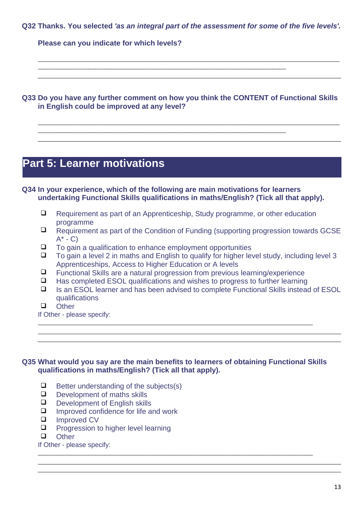**Q32 Thanks. You selected** *'as an integral part of the assessment for some of the five levels'.*

\_\_\_\_\_\_\_\_\_\_\_\_\_\_\_\_\_\_\_\_\_\_\_\_\_\_\_\_\_\_\_\_\_\_\_\_\_\_\_\_\_\_\_\_\_\_\_\_\_\_\_\_\_\_\_\_\_\_\_\_\_\_\_\_\_\_\_\_\_\_\_\_\_\_\_\_\_\_\_\_\_\_\_\_\_\_\_\_\_\_

**Please can you indicate for which levels?**

**Q33 Do you have any further comment on how you think the CONTENT of Functional Skills in English could be improved at any level?** 

\_\_\_\_\_\_\_\_\_\_\_\_\_\_\_\_\_\_\_\_\_\_\_\_\_\_\_\_\_\_\_\_\_\_\_\_\_\_\_\_\_\_\_\_\_\_\_\_\_\_\_\_\_\_\_\_\_\_\_\_\_\_\_\_\_\_\_\_\_\_\_\_\_\_\_\_\_\_\_\_\_\_\_\_\_\_\_\_\_\_

\_\_\_\_\_\_\_\_\_\_\_\_\_\_\_\_\_\_\_\_\_\_\_\_\_\_\_\_\_\_\_\_\_\_\_\_\_\_\_\_\_\_\_\_\_\_\_\_\_\_\_\_\_\_\_\_\_\_\_\_\_\_\_\_\_\_\_\_\_\_\_\_\_\_

\_\_\_\_\_\_\_\_\_\_\_\_\_\_\_\_\_\_\_\_\_\_\_\_\_\_\_\_\_\_\_\_\_\_\_\_\_\_\_\_\_\_\_\_\_\_\_\_\_\_\_\_\_\_\_\_\_\_\_\_\_\_\_\_\_\_\_\_\_\_\_\_\_\_

# **Part 5: Learner motivations**

**Q34 In your experience, which of the following are main motivations for learners undertaking Functional Skills qualifications in maths/English? (Tick all that apply).**

- □ Requirement as part of an Apprenticeship, Study programme, or other education programme
- $\Box$  Requirement as part of the Condition of Funding (supporting progression towards GCSE  $A^*$  - C)
- $\Box$  To gain a qualification to enhance employment opportunities
- $\Box$  To gain a level 2 in maths and English to qualify for higher level study, including level 3 Apprenticeships, Access to Higher Education or A levels
- $\Box$  Functional Skills are a natural progression from previous learning/experience
- $\Box$  Has completed ESOL qualifications and wishes to progress to further learning
- $\Box$  Is an ESOL learner and has been advised to complete Functional Skills instead of ESOL qualifications
- **Q** Other

If Other - please specify: \_\_\_\_\_\_\_\_\_\_\_\_\_\_\_\_\_\_\_\_\_\_\_\_\_\_\_\_\_\_\_\_\_\_\_\_\_\_\_\_\_\_\_\_\_\_\_\_\_\_\_\_\_\_\_\_\_\_\_\_\_\_\_\_\_\_\_\_\_\_\_\_\_\_\_\_\_\_\_\_\_\_

# **Q35 What would you say are the main benefits to learners of obtaining Functional Skills qualifications in maths/English? (Tick all that apply).**

- $\Box$  Better understanding of the subjects(s)
- $\Box$  Development of maths skills<br> $\Box$  Development of English skills
- $\Box$  Development of English skills<br> $\Box$  Improved confidence for life at
- Improved confidence for life and work
- **Improved CV**
- $\Box$  Progression to higher level learning
- **Q** Other

If Other - please specify: \_\_\_\_\_\_\_\_\_\_\_\_\_\_\_\_\_\_\_\_\_\_\_\_\_\_\_\_\_\_\_\_\_\_\_\_\_\_\_\_\_\_\_\_\_\_\_\_\_\_\_\_\_\_\_\_\_\_\_\_\_\_\_\_\_\_\_\_\_\_\_\_\_\_\_\_\_\_\_\_\_\_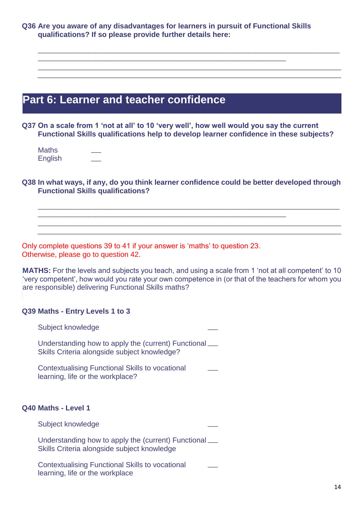**Q36 Are you aware of any disadvantages for learners in pursuit of Functional Skills qualifications? If so please provide further details here:**

\_\_\_\_\_\_\_\_\_\_\_\_\_\_\_\_\_\_\_\_\_\_\_\_\_\_\_\_\_\_\_\_\_\_\_\_\_\_\_\_\_\_\_\_\_\_\_\_\_\_\_\_\_\_\_\_\_\_\_\_\_\_\_\_\_\_\_\_\_\_\_\_\_\_

\_\_\_\_\_\_\_\_\_\_\_\_\_\_\_\_\_\_\_\_\_\_\_\_\_\_\_\_\_\_\_\_\_\_\_\_\_\_\_\_\_\_\_\_\_\_\_\_\_\_\_\_\_\_\_\_\_\_\_\_\_\_\_\_\_\_\_\_\_\_\_\_\_\_\_\_\_\_\_\_\_\_\_\_\_\_\_\_\_\_

# **Part 6: Learner and teacher confidence**

**Q37 On a scale from 1 'not at all' to 10 'very well', how well would you say the current Functional Skills qualifications help to develop learner confidence in these subjects?**

| Maths   |  |
|---------|--|
| English |  |

## **Q38 In what ways, if any, do you think learner confidence could be better developed through Functional Skills qualifications?**

\_\_\_\_\_\_\_\_\_\_\_\_\_\_\_\_\_\_\_\_\_\_\_\_\_\_\_\_\_\_\_\_\_\_\_\_\_\_\_\_\_\_\_\_\_\_\_\_\_\_\_\_\_\_\_\_\_\_\_\_\_\_\_\_\_\_\_\_\_\_\_\_\_\_

\_\_\_\_\_\_\_\_\_\_\_\_\_\_\_\_\_\_\_\_\_\_\_\_\_\_\_\_\_\_\_\_\_\_\_\_\_\_\_\_\_\_\_\_\_\_\_\_\_\_\_\_\_\_\_\_\_\_\_\_\_\_\_\_\_\_\_\_\_\_\_\_\_\_\_\_\_\_\_\_\_\_\_\_\_\_\_\_\_\_

Only complete questions 39 to 41 if your answer is 'maths' to question 23. Otherwise, please go to question 42.

**MATHS:** For the levels and subjects you teach, and using a scale from 1 'not at all competent' to 10 'very competent', how would you rate your own competence in (or that of the teachers for whom you are responsible) delivering Functional Skills maths?

## **Q39 Maths - Entry Levels 1 to 3**

Subject knowledge Understanding how to apply the (current) Functional \_\_\_

Skills Criteria alongside subject knowledge?  $\overline{\phantom{a}}$ 

Contextualising Functional Skills to vocational learning, life or the workplace?

#### **Q40 Maths - Level 1**

| Subject knowledge                                                                                     |  |
|-------------------------------------------------------------------------------------------------------|--|
| Understanding how to apply the (current) Functional __<br>Skills Criteria alongside subject knowledge |  |
| <b>Contextualising Functional Skills to vocational</b>                                                |  |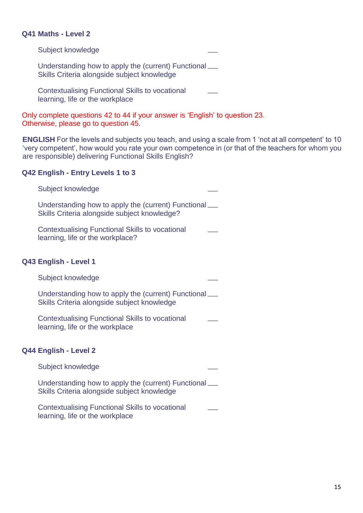## **Q41 Maths - Level 2**

Subject knowledge

Understanding how to apply the (current) Functional \_\_\_ Skills Criteria alongside subject knowledge

Contextualising Functional Skills to vocational learning, life or the workplace  $\overline{\phantom{a}}$ 

Only complete questions 42 to 44 if your answer is 'English' to question 23. Otherwise, please go to question 45.

**ENGLISH** For the levels and subjects you teach, and using a scale from 1 'not at all competent' to 10 'very competent', how would you rate your own competence in (or that of the teachers for whom you are responsible) delivering Functional Skills English?

#### **Q42 English - Entry Levels 1 to 3**

| Subject knowledge                                                                                       |  |
|---------------------------------------------------------------------------------------------------------|--|
| Understanding how to apply the (current) Functional ___<br>Skills Criteria alongside subject knowledge? |  |
| <b>Contextualising Functional Skills to vocational</b><br>learning, life or the workplace?              |  |
| Q43 English - Level 1                                                                                   |  |
| Subject knowledge                                                                                       |  |
| Understanding how to apply the (current) Functional __<br>Skills Criteria alongside subject knowledge   |  |
| <b>Contextualising Functional Skills to vocational</b><br>learning, life or the workplace               |  |
| Q44 English - Level 2                                                                                   |  |
| Subject knowledge                                                                                       |  |
| Understanding how to apply the (current) Functional ___<br>Skills Criteria alongside subject knowledge  |  |
| <b>Contextualising Functional Skills to vocational</b><br>learning, life or the workplace               |  |